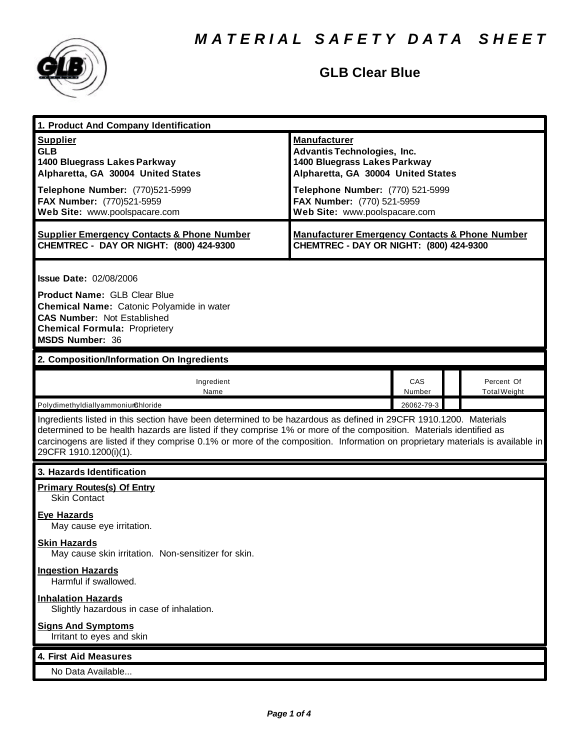

## **GLB Clear Blue**

| 1. Product And Company Identification                                                                                                                                                                                                                                                                                                                                                             |                                                                                                                                                                                                                                    |               |                                   |  |
|---------------------------------------------------------------------------------------------------------------------------------------------------------------------------------------------------------------------------------------------------------------------------------------------------------------------------------------------------------------------------------------------------|------------------------------------------------------------------------------------------------------------------------------------------------------------------------------------------------------------------------------------|---------------|-----------------------------------|--|
| <b>Supplier</b><br><b>GLB</b><br>1400 Bluegrass Lakes Parkway<br>Alpharetta, GA 30004 United States<br>Telephone Number: (770)521-5999<br>FAX Number: (770)521-5959<br>Web Site: www.poolspacare.com                                                                                                                                                                                              | <b>Manufacturer</b><br><b>Advantis Technologies, Inc.</b><br>1400 Bluegrass Lakes Parkway<br>Alpharetta, GA 30004 United States<br>Telephone Number: (770) 521-5999<br>FAX Number: (770) 521-5959<br>Web Site: www.poolspacare.com |               |                                   |  |
| <b>Supplier Emergency Contacts &amp; Phone Number</b><br>CHEMTREC - DAY OR NIGHT: (800) 424-9300                                                                                                                                                                                                                                                                                                  | <b>Manufacturer Emergency Contacts &amp; Phone Number</b><br>CHEMTREC - DAY OR NIGHT: (800) 424-9300                                                                                                                               |               |                                   |  |
| <b>Issue Date: 02/08/2006</b><br><b>Product Name: GLB Clear Blue</b><br><b>Chemical Name:</b> Catonic Polyamide in water<br><b>CAS Number: Not Established</b><br><b>Chemical Formula: Proprietery</b><br><b>MSDS Number: 36</b>                                                                                                                                                                  |                                                                                                                                                                                                                                    |               |                                   |  |
| 2. Composition/Information On Ingredients                                                                                                                                                                                                                                                                                                                                                         |                                                                                                                                                                                                                                    |               |                                   |  |
| Ingredient<br>Name                                                                                                                                                                                                                                                                                                                                                                                |                                                                                                                                                                                                                                    | CAS<br>Number | Percent Of<br><b>Total Weight</b> |  |
| Polydimethyldiallyammoniumchloride<br>26062-79-3                                                                                                                                                                                                                                                                                                                                                  |                                                                                                                                                                                                                                    |               |                                   |  |
| Ingredients listed in this section have been determined to be hazardous as defined in 29CFR 1910.1200. Materials<br>determined to be health hazards are listed if they comprise 1% or more of the composition. Materials identified as<br>carcinogens are listed if they comprise 0.1% or more of the composition. Information on proprietary materials is available in<br>29CFR 1910.1200(i)(1). |                                                                                                                                                                                                                                    |               |                                   |  |
| 3. Hazards Identification                                                                                                                                                                                                                                                                                                                                                                         |                                                                                                                                                                                                                                    |               |                                   |  |
| <b>Primary Routes(s) Of Entry</b><br><b>Skin Contact</b>                                                                                                                                                                                                                                                                                                                                          |                                                                                                                                                                                                                                    |               |                                   |  |
| Eve Hazards<br>May cause eye irritation.                                                                                                                                                                                                                                                                                                                                                          |                                                                                                                                                                                                                                    |               |                                   |  |
| <b>Skin Hazards</b><br>May cause skin irritation. Non-sensitizer for skin.                                                                                                                                                                                                                                                                                                                        |                                                                                                                                                                                                                                    |               |                                   |  |
| <b>Ingestion Hazards</b><br>Harmful if swallowed.                                                                                                                                                                                                                                                                                                                                                 |                                                                                                                                                                                                                                    |               |                                   |  |
| <b>Inhalation Hazards</b><br>Slightly hazardous in case of inhalation.                                                                                                                                                                                                                                                                                                                            |                                                                                                                                                                                                                                    |               |                                   |  |
| <b>Signs And Symptoms</b><br>Irritant to eyes and skin                                                                                                                                                                                                                                                                                                                                            |                                                                                                                                                                                                                                    |               |                                   |  |
| 4. First Aid Measures                                                                                                                                                                                                                                                                                                                                                                             |                                                                                                                                                                                                                                    |               |                                   |  |
| No Data Available                                                                                                                                                                                                                                                                                                                                                                                 |                                                                                                                                                                                                                                    |               |                                   |  |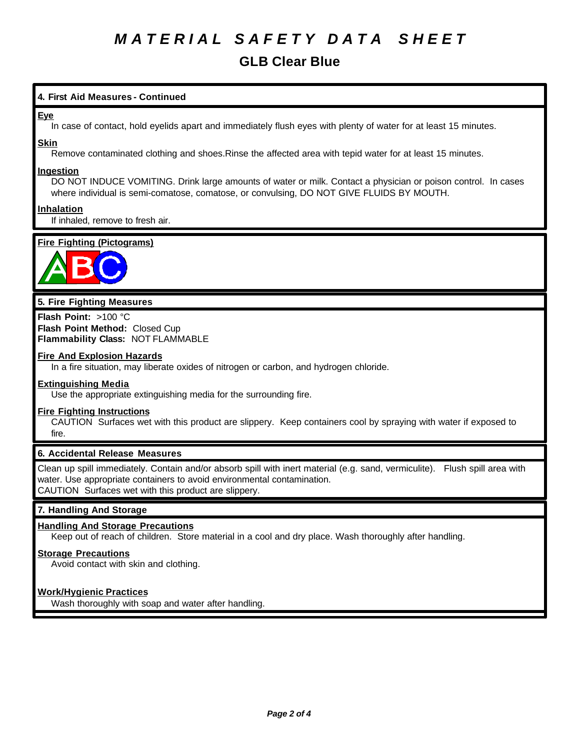# *M A T E R I A L S A F E T Y D A T A S H E E T*

## **GLB Clear Blue**

### **4. First Aid Measures - Continued**

#### **Eye**

In case of contact, hold eyelids apart and immediately flush eyes with plenty of water for at least 15 minutes.

#### **Skin**

Remove contaminated clothing and shoes.Rinse the affected area with tepid water for at least 15 minutes.

#### **Ingestion**

DO NOT INDUCE VOMITING. Drink large amounts of water or milk. Contact a physician or poison control. In cases where individual is semi-comatose, comatose, or convulsing, DO NOT GIVE FLUIDS BY MOUTH.

### **Inhalation**

If inhaled, remove to fresh air.

### **Fire Fighting (Pictograms)**



#### **5. Fire Fighting Measures**

**Flash Point:** >100 °C **Flash Point Method:** Closed Cup **Flammability Class:** NOT FLAMMABLE

#### **Fire And Explosion Hazards**

In a fire situation, may liberate oxides of nitrogen or carbon, and hydrogen chloride.

#### **Extinguishing Media**

Use the appropriate extinguishing media for the surrounding fire.

#### **Fire Fighting Instructions**

CAUTION Surfaces wet with this product are slippery. Keep containers cool by spraying with water if exposed to fire.

#### **6. Accidental Release Measures**

Clean up spill immediately. Contain and/or absorb spill with inert material (e.g. sand, vermiculite). Flush spill area with water. Use appropriate containers to avoid environmental contamination. CAUTION Surfaces wet with this product are slippery.

#### **7. Handling And Storage**

#### **Handling And Storage Precautions**

Keep out of reach of children. Store material in a cool and dry place. Wash thoroughly after handling.

#### **Storage Precautions**

Avoid contact with skin and clothing.

#### **Work/Hygienic Practices**

Wash thoroughly with soap and water after handling.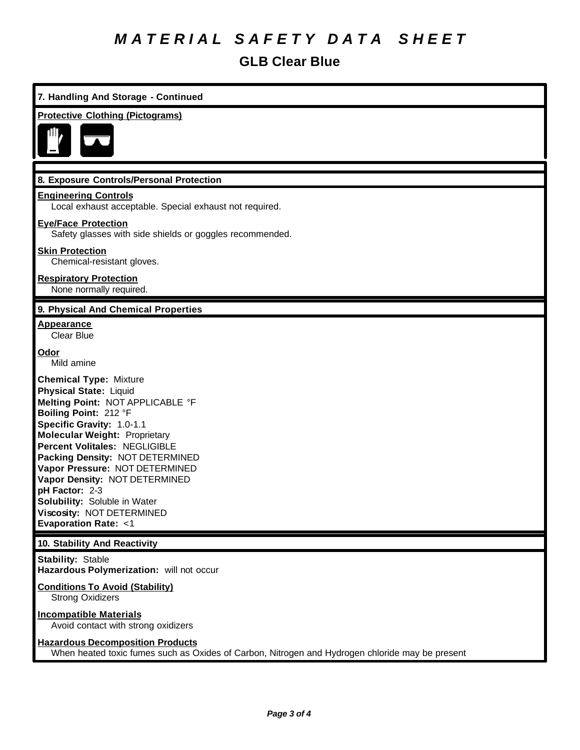# *M A T E R I A L S A F E T Y D A T A S H E E T*

## **GLB Clear Blue**

| 7. Handling And Storage - Continued                                                                                                                                                                                                                                                                                                                                                                                                                      |  |  |
|----------------------------------------------------------------------------------------------------------------------------------------------------------------------------------------------------------------------------------------------------------------------------------------------------------------------------------------------------------------------------------------------------------------------------------------------------------|--|--|
| <b>Protective Clothing (Pictograms)</b>                                                                                                                                                                                                                                                                                                                                                                                                                  |  |  |
|                                                                                                                                                                                                                                                                                                                                                                                                                                                          |  |  |
|                                                                                                                                                                                                                                                                                                                                                                                                                                                          |  |  |
| 8. Exposure Controls/Personal Protection                                                                                                                                                                                                                                                                                                                                                                                                                 |  |  |
| <b>Engineering Controls</b><br>Local exhaust acceptable. Special exhaust not required.                                                                                                                                                                                                                                                                                                                                                                   |  |  |
| <b>Eye/Face Protection</b><br>Safety glasses with side shields or goggles recommended.                                                                                                                                                                                                                                                                                                                                                                   |  |  |
| <b>Skin Protection</b><br>Chemical-resistant gloves.                                                                                                                                                                                                                                                                                                                                                                                                     |  |  |
| <b>Respiratory Protection</b><br>None normally required.                                                                                                                                                                                                                                                                                                                                                                                                 |  |  |
| 9. Physical And Chemical Properties                                                                                                                                                                                                                                                                                                                                                                                                                      |  |  |
| <b>Appearance</b><br><b>Clear Blue</b>                                                                                                                                                                                                                                                                                                                                                                                                                   |  |  |
| <u>Odor</u><br>Mild amine                                                                                                                                                                                                                                                                                                                                                                                                                                |  |  |
| <b>Chemical Type: Mixture</b><br><b>Physical State: Liquid</b><br>Melting Point: NOT APPLICABLE °F<br>Boiling Point: 212 °F<br>Specific Gravity: 1.0-1.1<br><b>Molecular Weight: Proprietary</b><br>Percent Volitales: NEGLIGIBLE<br>Packing Density: NOT DETERMINED<br>Vapor Pressure: NOT DETERMINED<br>Vapor Density: NOT DETERMINED<br>pH Factor: 2-3<br>Solubility: Soluble in Water<br>Viscosity: NOT DETERMINED<br><b>Evaporation Rate: &lt;1</b> |  |  |
| 10. Stability And Reactivity                                                                                                                                                                                                                                                                                                                                                                                                                             |  |  |
| <b>Stability: Stable</b><br>Hazardous Polymerization: will not occur                                                                                                                                                                                                                                                                                                                                                                                     |  |  |
| <b>Conditions To Avoid (Stability)</b><br><b>Strong Oxidizers</b>                                                                                                                                                                                                                                                                                                                                                                                        |  |  |
| <b>Incompatible Materials</b><br>Avoid contact with strong oxidizers                                                                                                                                                                                                                                                                                                                                                                                     |  |  |
| <b>Hazardous Decomposition Products</b><br>When heated toxic fumes such as Oxides of Carbon, Nitrogen and Hydrogen chloride may be present                                                                                                                                                                                                                                                                                                               |  |  |